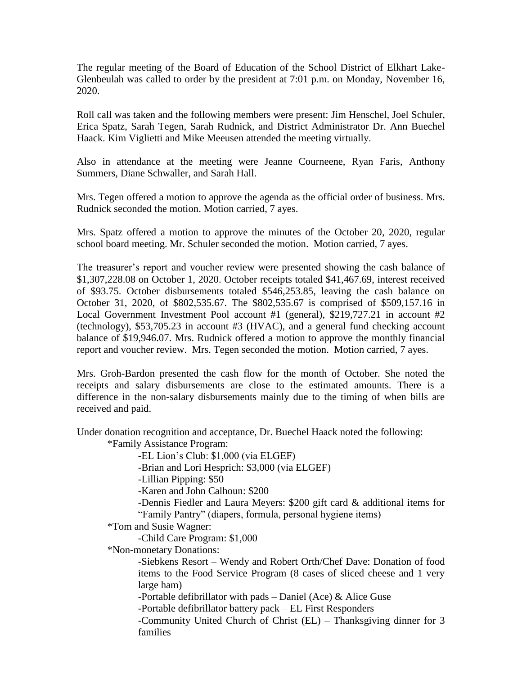The regular meeting of the Board of Education of the School District of Elkhart Lake-Glenbeulah was called to order by the president at 7:01 p.m. on Monday, November 16, 2020.

Roll call was taken and the following members were present: Jim Henschel, Joel Schuler, Erica Spatz, Sarah Tegen, Sarah Rudnick, and District Administrator Dr. Ann Buechel Haack. Kim Viglietti and Mike Meeusen attended the meeting virtually.

Also in attendance at the meeting were Jeanne Courneene, Ryan Faris, Anthony Summers, Diane Schwaller, and Sarah Hall.

Mrs. Tegen offered a motion to approve the agenda as the official order of business. Mrs. Rudnick seconded the motion. Motion carried, 7 ayes.

Mrs. Spatz offered a motion to approve the minutes of the October 20, 2020, regular school board meeting. Mr. Schuler seconded the motion. Motion carried, 7 ayes.

The treasurer's report and voucher review were presented showing the cash balance of \$1,307,228.08 on October 1, 2020. October receipts totaled \$41,467.69, interest received of \$93.75. October disbursements totaled \$546,253.85, leaving the cash balance on October 31, 2020, of \$802,535.67. The \$802,535.67 is comprised of \$509,157.16 in Local Government Investment Pool account #1 (general), \$219,727.21 in account #2 (technology), \$53,705.23 in account #3 (HVAC), and a general fund checking account balance of \$19,946.07. Mrs. Rudnick offered a motion to approve the monthly financial report and voucher review. Mrs. Tegen seconded the motion. Motion carried, 7 ayes.

Mrs. Groh-Bardon presented the cash flow for the month of October. She noted the receipts and salary disbursements are close to the estimated amounts. There is a difference in the non-salary disbursements mainly due to the timing of when bills are received and paid.

Under donation recognition and acceptance, Dr. Buechel Haack noted the following:

\*Family Assistance Program:

-EL Lion's Club: \$1,000 (via ELGEF)

-Brian and Lori Hesprich: \$3,000 (via ELGEF)

-Lillian Pipping: \$50

-Karen and John Calhoun: \$200

-Dennis Fiedler and Laura Meyers: \$200 gift card & additional items for "Family Pantry" (diapers, formula, personal hygiene items)

\*Tom and Susie Wagner:

-Child Care Program: \$1,000

\*Non-monetary Donations:

-Siebkens Resort – Wendy and Robert Orth/Chef Dave: Donation of food items to the Food Service Program (8 cases of sliced cheese and 1 very large ham)

-Portable defibrillator with pads – Daniel (Ace) & Alice Guse

-Portable defibrillator battery pack – EL First Responders

-Community United Church of Christ (EL) – Thanksgiving dinner for 3 families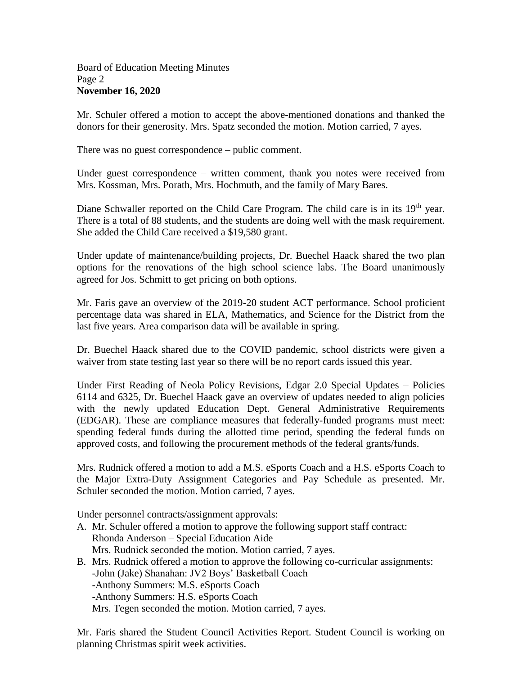## Board of Education Meeting Minutes Page 2 **November 16, 2020**

Mr. Schuler offered a motion to accept the above-mentioned donations and thanked the donors for their generosity. Mrs. Spatz seconded the motion. Motion carried, 7 ayes.

There was no guest correspondence – public comment.

Under guest correspondence – written comment, thank you notes were received from Mrs. Kossman, Mrs. Porath, Mrs. Hochmuth, and the family of Mary Bares.

Diane Schwaller reported on the Child Care Program. The child care is in its 19<sup>th</sup> year. There is a total of 88 students, and the students are doing well with the mask requirement. She added the Child Care received a \$19,580 grant.

Under update of maintenance/building projects, Dr. Buechel Haack shared the two plan options for the renovations of the high school science labs. The Board unanimously agreed for Jos. Schmitt to get pricing on both options.

Mr. Faris gave an overview of the 2019-20 student ACT performance. School proficient percentage data was shared in ELA, Mathematics, and Science for the District from the last five years. Area comparison data will be available in spring.

Dr. Buechel Haack shared due to the COVID pandemic, school districts were given a waiver from state testing last year so there will be no report cards issued this year.

Under First Reading of Neola Policy Revisions, Edgar 2.0 Special Updates – Policies 6114 and 6325, Dr. Buechel Haack gave an overview of updates needed to align policies with the newly updated Education Dept. General Administrative Requirements (EDGAR). These are compliance measures that federally-funded programs must meet: spending federal funds during the allotted time period, spending the federal funds on approved costs, and following the procurement methods of the federal grants/funds.

Mrs. Rudnick offered a motion to add a M.S. eSports Coach and a H.S. eSports Coach to the Major Extra-Duty Assignment Categories and Pay Schedule as presented. Mr. Schuler seconded the motion. Motion carried, 7 ayes.

Under personnel contracts/assignment approvals:

- A. Mr. Schuler offered a motion to approve the following support staff contract: Rhonda Anderson – Special Education Aide Mrs. Rudnick seconded the motion. Motion carried, 7 ayes.
- B. Mrs. Rudnick offered a motion to approve the following co-curricular assignments: -John (Jake) Shanahan: JV2 Boys' Basketball Coach -Anthony Summers: M.S. eSports Coach -Anthony Summers: H.S. eSports Coach Mrs. Tegen seconded the motion. Motion carried, 7 ayes.

Mr. Faris shared the Student Council Activities Report. Student Council is working on planning Christmas spirit week activities.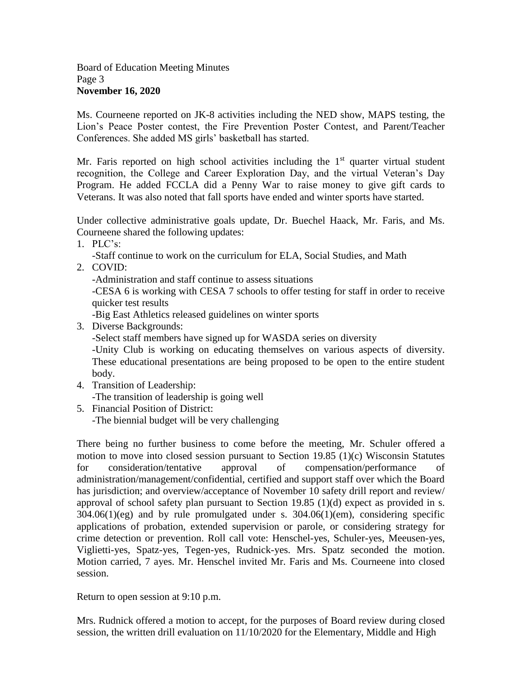## Board of Education Meeting Minutes Page 3 **November 16, 2020**

Ms. Courneene reported on JK-8 activities including the NED show, MAPS testing, the Lion's Peace Poster contest, the Fire Prevention Poster Contest, and Parent/Teacher Conferences. She added MS girls' basketball has started.

Mr. Faris reported on high school activities including the  $1<sup>st</sup>$  quarter virtual student recognition, the College and Career Exploration Day, and the virtual Veteran's Day Program. He added FCCLA did a Penny War to raise money to give gift cards to Veterans. It was also noted that fall sports have ended and winter sports have started.

Under collective administrative goals update, Dr. Buechel Haack, Mr. Faris, and Ms. Courneene shared the following updates:

1. PLC's:

-Staff continue to work on the curriculum for ELA, Social Studies, and Math

2. COVID:

-Administration and staff continue to assess situations

-CESA 6 is working with CESA 7 schools to offer testing for staff in order to receive quicker test results

-Big East Athletics released guidelines on winter sports

3. Diverse Backgrounds:

-Select staff members have signed up for WASDA series on diversity

-Unity Club is working on educating themselves on various aspects of diversity. These educational presentations are being proposed to be open to the entire student body.

- 4. Transition of Leadership: -The transition of leadership is going well
- 5. Financial Position of District: -The biennial budget will be very challenging

There being no further business to come before the meeting, Mr. Schuler offered a motion to move into closed session pursuant to Section 19.85 (1)(c) Wisconsin Statutes for consideration/tentative approval of compensation/performance of administration/management/confidential, certified and support staff over which the Board has jurisdiction; and overview/acceptance of November 10 safety drill report and review/ approval of school safety plan pursuant to Section 19.85 (1)(d) expect as provided in s. 304.06(1)(eg) and by rule promulgated under s. 304.06(1)(em), considering specific applications of probation, extended supervision or parole, or considering strategy for crime detection or prevention. Roll call vote: Henschel-yes, Schuler-yes, Meeusen-yes, Viglietti-yes, Spatz-yes, Tegen-yes, Rudnick-yes. Mrs. Spatz seconded the motion. Motion carried, 7 ayes. Mr. Henschel invited Mr. Faris and Ms. Courneene into closed session.

Return to open session at 9:10 p.m.

Mrs. Rudnick offered a motion to accept, for the purposes of Board review during closed session, the written drill evaluation on 11/10/2020 for the Elementary, Middle and High